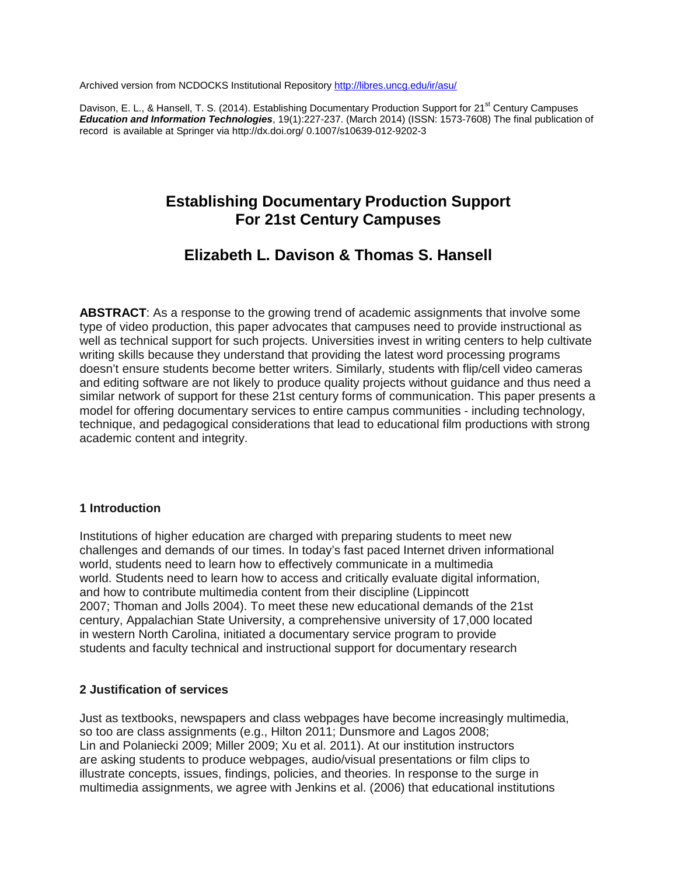Archived version from NCDOCKS Institutional Repositor[y http://libres.uncg.edu/ir/asu/](http://libres.uncg.edu/ir/asu/)

Davison, E. L., & Hansell, T. S. (2014). Establishing Documentary Production Support for 21<sup>st</sup> Century Campuses *Education and Information Technologies*, 19(1):227-237. (March 2014) (ISSN: 1573-7608) The final publication of record is available at Springer via http://dx.doi.org/ 0.1007/s10639-012-9202-3

# **Establishing Documentary Production Support For 21st Century Campuses**

# **Elizabeth L. Davison & Thomas S. Hansell**

**ABSTRACT**: As a response to the growing trend of academic assignments that involve some type of video production, this paper advocates that campuses need to provide instructional as well as technical support for such projects. Universities invest in writing centers to help cultivate writing skills because they understand that providing the latest word processing programs doesn't ensure students become better writers. Similarly, students with flip/cell video cameras and editing software are not likely to produce quality projects without guidance and thus need a similar network of support for these 21st century forms of communication. This paper presents a model for offering documentary services to entire campus communities - including technology, technique, and pedagogical considerations that lead to educational film productions with strong academic content and integrity.

### **1 Introduction**

Institutions of higher education are charged with preparing students to meet new challenges and demands of our times. In today's fast paced Internet driven informational world, students need to learn how to effectively communicate in a multimedia world. Students need to learn how to access and critically evaluate digital information, and how to contribute multimedia content from their discipline (Lippincott 2007; Thoman and Jolls 2004). To meet these new educational demands of the 21st century, Appalachian State University, a comprehensive university of 17,000 located in western North Carolina, initiated a documentary service program to provide students and faculty technical and instructional support for documentary research

# **2 Justification of services**

Just as textbooks, newspapers and class webpages have become increasingly multimedia, so too are class assignments (e.g., Hilton 2011; Dunsmore and Lagos 2008; Lin and Polaniecki 2009; Miller 2009; Xu et al. 2011). At our institution instructors are asking students to produce webpages, audio/visual presentations or film clips to illustrate concepts, issues, findings, policies, and theories. In response to the surge in multimedia assignments, we agree with Jenkins et al. (2006) that educational institutions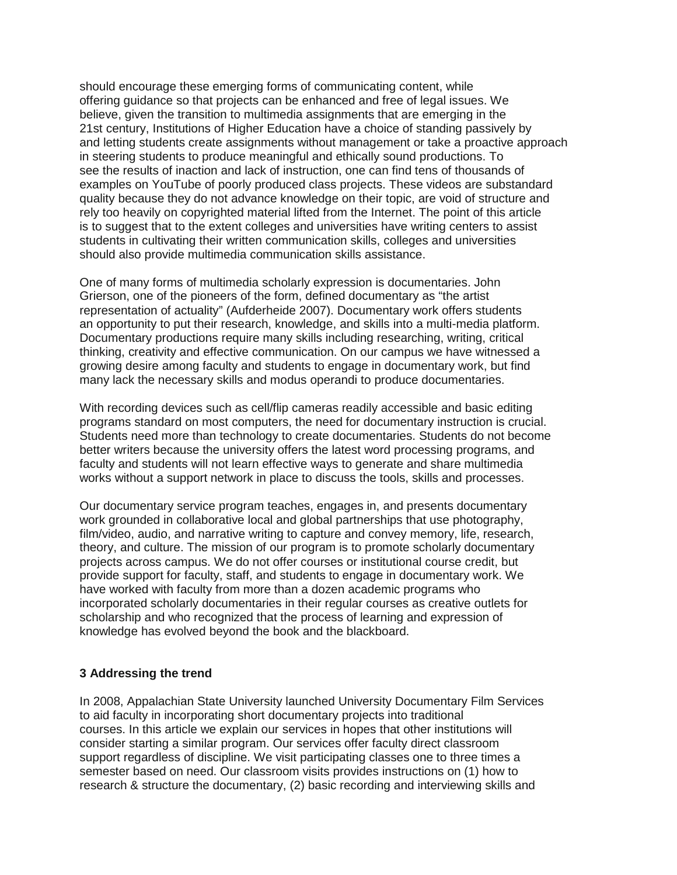should encourage these emerging forms of communicating content, while offering guidance so that projects can be enhanced and free of legal issues. We believe, given the transition to multimedia assignments that are emerging in the 21st century, Institutions of Higher Education have a choice of standing passively by and letting students create assignments without management or take a proactive approach in steering students to produce meaningful and ethically sound productions. To see the results of inaction and lack of instruction, one can find tens of thousands of examples on YouTube of poorly produced class projects. These videos are substandard quality because they do not advance knowledge on their topic, are void of structure and rely too heavily on copyrighted material lifted from the Internet. The point of this article is to suggest that to the extent colleges and universities have writing centers to assist students in cultivating their written communication skills, colleges and universities should also provide multimedia communication skills assistance.

One of many forms of multimedia scholarly expression is documentaries. John Grierson, one of the pioneers of the form, defined documentary as "the artist representation of actuality" (Aufderheide 2007). Documentary work offers students an opportunity to put their research, knowledge, and skills into a multi-media platform. Documentary productions require many skills including researching, writing, critical thinking, creativity and effective communication. On our campus we have witnessed a growing desire among faculty and students to engage in documentary work, but find many lack the necessary skills and modus operandi to produce documentaries.

With recording devices such as cell/flip cameras readily accessible and basic editing programs standard on most computers, the need for documentary instruction is crucial. Students need more than technology to create documentaries. Students do not become better writers because the university offers the latest word processing programs, and faculty and students will not learn effective ways to generate and share multimedia works without a support network in place to discuss the tools, skills and processes.

Our documentary service program teaches, engages in, and presents documentary work grounded in collaborative local and global partnerships that use photography, film/video, audio, and narrative writing to capture and convey memory, life, research, theory, and culture. The mission of our program is to promote scholarly documentary projects across campus. We do not offer courses or institutional course credit, but provide support for faculty, staff, and students to engage in documentary work. We have worked with faculty from more than a dozen academic programs who incorporated scholarly documentaries in their regular courses as creative outlets for scholarship and who recognized that the process of learning and expression of knowledge has evolved beyond the book and the blackboard.

# **3 Addressing the trend**

In 2008, Appalachian State University launched University Documentary Film Services to aid faculty in incorporating short documentary projects into traditional courses. In this article we explain our services in hopes that other institutions will consider starting a similar program. Our services offer faculty direct classroom support regardless of discipline. We visit participating classes one to three times a semester based on need. Our classroom visits provides instructions on (1) how to research & structure the documentary, (2) basic recording and interviewing skills and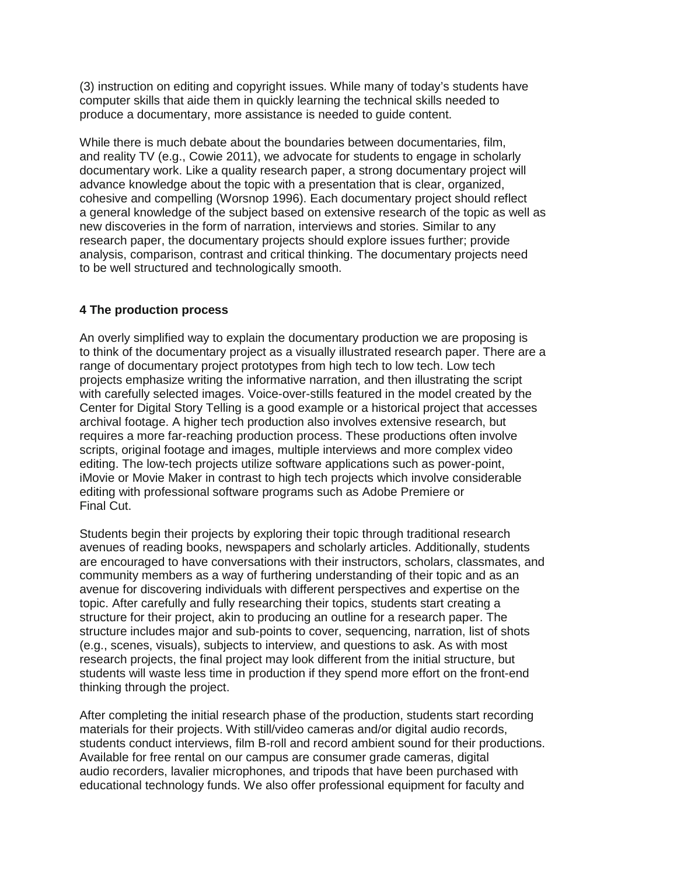(3) instruction on editing and copyright issues. While many of today's students have computer skills that aide them in quickly learning the technical skills needed to produce a documentary, more assistance is needed to guide content.

While there is much debate about the boundaries between documentaries, film, and reality TV (e.g., Cowie 2011), we advocate for students to engage in scholarly documentary work. Like a quality research paper, a strong documentary project will advance knowledge about the topic with a presentation that is clear, organized, cohesive and compelling (Worsnop 1996). Each documentary project should reflect a general knowledge of the subject based on extensive research of the topic as well as new discoveries in the form of narration, interviews and stories. Similar to any research paper, the documentary projects should explore issues further; provide analysis, comparison, contrast and critical thinking. The documentary projects need to be well structured and technologically smooth.

# **4 The production process**

An overly simplified way to explain the documentary production we are proposing is to think of the documentary project as a visually illustrated research paper. There are a range of documentary project prototypes from high tech to low tech. Low tech projects emphasize writing the informative narration, and then illustrating the script with carefully selected images. Voice-over-stills featured in the model created by the Center for Digital Story Telling is a good example or a historical project that accesses archival footage. A higher tech production also involves extensive research, but requires a more far-reaching production process. These productions often involve scripts, original footage and images, multiple interviews and more complex video editing. The low-tech projects utilize software applications such as power-point, iMovie or Movie Maker in contrast to high tech projects which involve considerable editing with professional software programs such as Adobe Premiere or Final Cut.

Students begin their projects by exploring their topic through traditional research avenues of reading books, newspapers and scholarly articles. Additionally, students are encouraged to have conversations with their instructors, scholars, classmates, and community members as a way of furthering understanding of their topic and as an avenue for discovering individuals with different perspectives and expertise on the topic. After carefully and fully researching their topics, students start creating a structure for their project, akin to producing an outline for a research paper. The structure includes major and sub-points to cover, sequencing, narration, list of shots (e.g., scenes, visuals), subjects to interview, and questions to ask. As with most research projects, the final project may look different from the initial structure, but students will waste less time in production if they spend more effort on the front-end thinking through the project.

After completing the initial research phase of the production, students start recording materials for their projects. With still/video cameras and/or digital audio records, students conduct interviews, film B-roll and record ambient sound for their productions. Available for free rental on our campus are consumer grade cameras, digital audio recorders, lavalier microphones, and tripods that have been purchased with educational technology funds. We also offer professional equipment for faculty and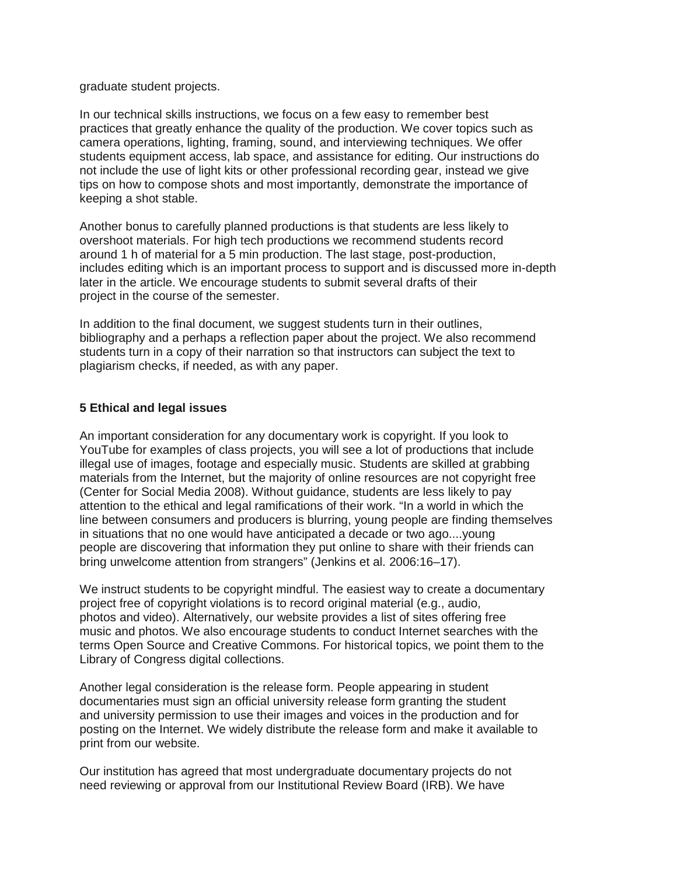graduate student projects.

In our technical skills instructions, we focus on a few easy to remember best practices that greatly enhance the quality of the production. We cover topics such as camera operations, lighting, framing, sound, and interviewing techniques. We offer students equipment access, lab space, and assistance for editing. Our instructions do not include the use of light kits or other professional recording gear, instead we give tips on how to compose shots and most importantly, demonstrate the importance of keeping a shot stable.

Another bonus to carefully planned productions is that students are less likely to overshoot materials. For high tech productions we recommend students record around 1 h of material for a 5 min production. The last stage, post-production, includes editing which is an important process to support and is discussed more in-depth later in the article. We encourage students to submit several drafts of their project in the course of the semester.

In addition to the final document, we suggest students turn in their outlines, bibliography and a perhaps a reflection paper about the project. We also recommend students turn in a copy of their narration so that instructors can subject the text to plagiarism checks, if needed, as with any paper.

# **5 Ethical and legal issues**

An important consideration for any documentary work is copyright. If you look to YouTube for examples of class projects, you will see a lot of productions that include illegal use of images, footage and especially music. Students are skilled at grabbing materials from the Internet, but the majority of online resources are not copyright free (Center for Social Media 2008). Without guidance, students are less likely to pay attention to the ethical and legal ramifications of their work. "In a world in which the line between consumers and producers is blurring, young people are finding themselves in situations that no one would have anticipated a decade or two ago....young people are discovering that information they put online to share with their friends can bring unwelcome attention from strangers" (Jenkins et al. 2006:16–17).

We instruct students to be copyright mindful. The easiest way to create a documentary project free of copyright violations is to record original material (e.g., audio, photos and video). Alternatively, our website provides a list of sites offering free music and photos. We also encourage students to conduct Internet searches with the terms Open Source and Creative Commons. For historical topics, we point them to the Library of Congress digital collections.

Another legal consideration is the release form. People appearing in student documentaries must sign an official university release form granting the student and university permission to use their images and voices in the production and for posting on the Internet. We widely distribute the release form and make it available to print from our website.

Our institution has agreed that most undergraduate documentary projects do not need reviewing or approval from our Institutional Review Board (IRB). We have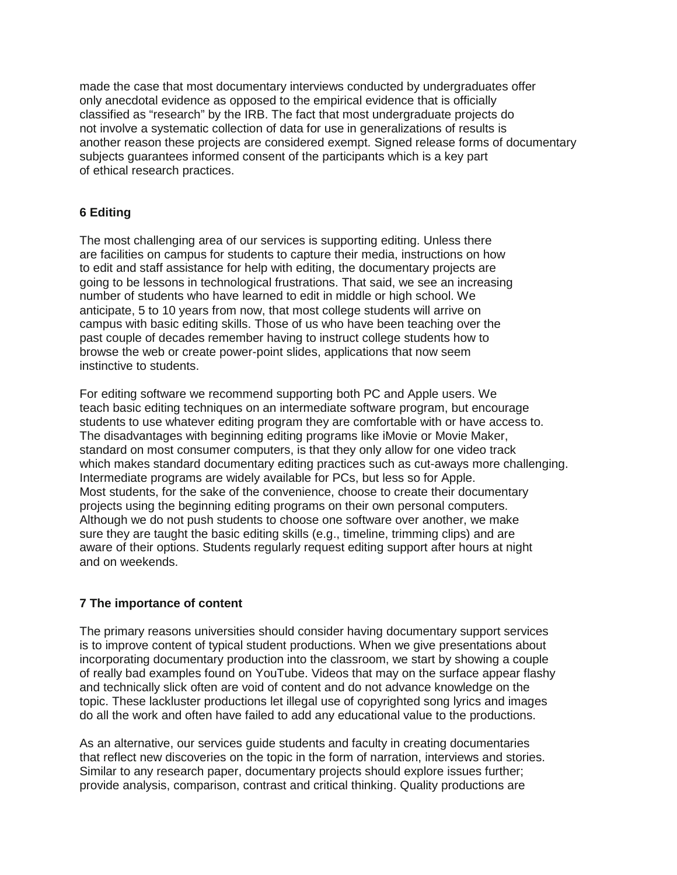made the case that most documentary interviews conducted by undergraduates offer only anecdotal evidence as opposed to the empirical evidence that is officially classified as "research" by the IRB. The fact that most undergraduate projects do not involve a systematic collection of data for use in generalizations of results is another reason these projects are considered exempt. Signed release forms of documentary subjects guarantees informed consent of the participants which is a key part of ethical research practices.

# **6 Editing**

The most challenging area of our services is supporting editing. Unless there are facilities on campus for students to capture their media, instructions on how to edit and staff assistance for help with editing, the documentary projects are going to be lessons in technological frustrations. That said, we see an increasing number of students who have learned to edit in middle or high school. We anticipate, 5 to 10 years from now, that most college students will arrive on campus with basic editing skills. Those of us who have been teaching over the past couple of decades remember having to instruct college students how to browse the web or create power-point slides, applications that now seem instinctive to students.

For editing software we recommend supporting both PC and Apple users. We teach basic editing techniques on an intermediate software program, but encourage students to use whatever editing program they are comfortable with or have access to. The disadvantages with beginning editing programs like iMovie or Movie Maker, standard on most consumer computers, is that they only allow for one video track which makes standard documentary editing practices such as cut-aways more challenging. Intermediate programs are widely available for PCs, but less so for Apple. Most students, for the sake of the convenience, choose to create their documentary projects using the beginning editing programs on their own personal computers. Although we do not push students to choose one software over another, we make sure they are taught the basic editing skills (e.g., timeline, trimming clips) and are aware of their options. Students regularly request editing support after hours at night and on weekends.

# **7 The importance of content**

The primary reasons universities should consider having documentary support services is to improve content of typical student productions. When we give presentations about incorporating documentary production into the classroom, we start by showing a couple of really bad examples found on YouTube. Videos that may on the surface appear flashy and technically slick often are void of content and do not advance knowledge on the topic. These lackluster productions let illegal use of copyrighted song lyrics and images do all the work and often have failed to add any educational value to the productions.

As an alternative, our services guide students and faculty in creating documentaries that reflect new discoveries on the topic in the form of narration, interviews and stories. Similar to any research paper, documentary projects should explore issues further; provide analysis, comparison, contrast and critical thinking. Quality productions are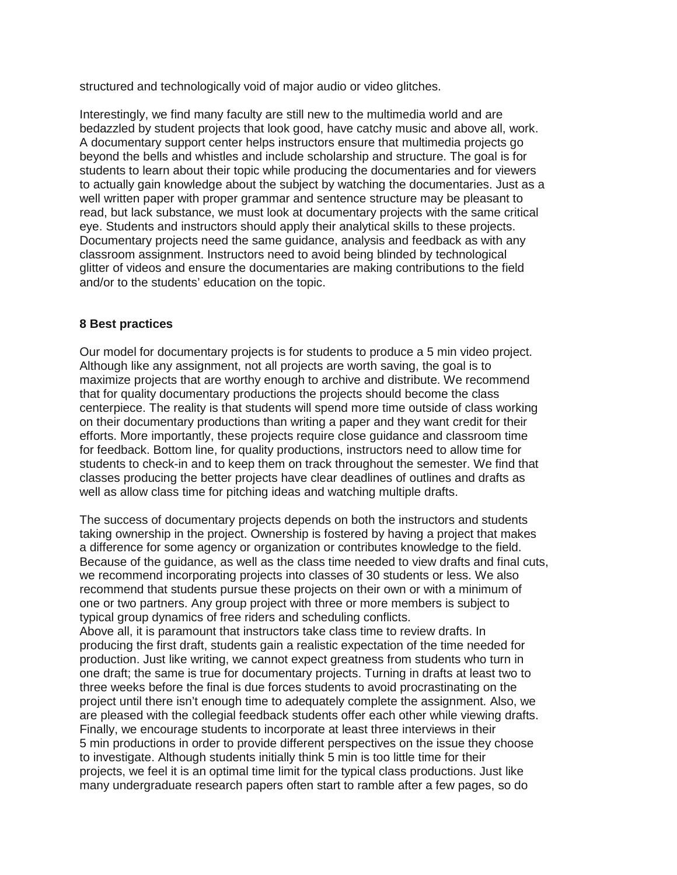structured and technologically void of major audio or video glitches.

Interestingly, we find many faculty are still new to the multimedia world and are bedazzled by student projects that look good, have catchy music and above all, work. A documentary support center helps instructors ensure that multimedia projects go beyond the bells and whistles and include scholarship and structure. The goal is for students to learn about their topic while producing the documentaries and for viewers to actually gain knowledge about the subject by watching the documentaries. Just as a well written paper with proper grammar and sentence structure may be pleasant to read, but lack substance, we must look at documentary projects with the same critical eye. Students and instructors should apply their analytical skills to these projects. Documentary projects need the same guidance, analysis and feedback as with any classroom assignment. Instructors need to avoid being blinded by technological glitter of videos and ensure the documentaries are making contributions to the field and/or to the students' education on the topic.

### **8 Best practices**

Our model for documentary projects is for students to produce a 5 min video project. Although like any assignment, not all projects are worth saving, the goal is to maximize projects that are worthy enough to archive and distribute. We recommend that for quality documentary productions the projects should become the class centerpiece. The reality is that students will spend more time outside of class working on their documentary productions than writing a paper and they want credit for their efforts. More importantly, these projects require close guidance and classroom time for feedback. Bottom line, for quality productions, instructors need to allow time for students to check-in and to keep them on track throughout the semester. We find that classes producing the better projects have clear deadlines of outlines and drafts as well as allow class time for pitching ideas and watching multiple drafts.

The success of documentary projects depends on both the instructors and students taking ownership in the project. Ownership is fostered by having a project that makes a difference for some agency or organization or contributes knowledge to the field. Because of the guidance, as well as the class time needed to view drafts and final cuts, we recommend incorporating projects into classes of 30 students or less. We also recommend that students pursue these projects on their own or with a minimum of one or two partners. Any group project with three or more members is subject to typical group dynamics of free riders and scheduling conflicts. Above all, it is paramount that instructors take class time to review drafts. In producing the first draft, students gain a realistic expectation of the time needed for production. Just like writing, we cannot expect greatness from students who turn in one draft; the same is true for documentary projects. Turning in drafts at least two to three weeks before the final is due forces students to avoid procrastinating on the project until there isn't enough time to adequately complete the assignment. Also, we are pleased with the collegial feedback students offer each other while viewing drafts. Finally, we encourage students to incorporate at least three interviews in their 5 min productions in order to provide different perspectives on the issue they choose to investigate. Although students initially think 5 min is too little time for their projects, we feel it is an optimal time limit for the typical class productions. Just like many undergraduate research papers often start to ramble after a few pages, so do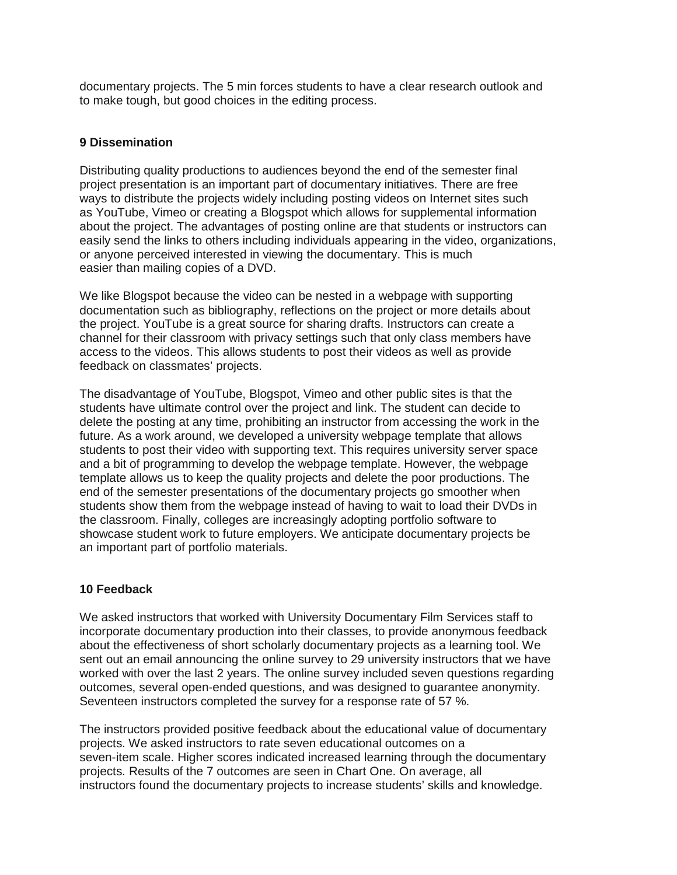documentary projects. The 5 min forces students to have a clear research outlook and to make tough, but good choices in the editing process.

### **9 Dissemination**

Distributing quality productions to audiences beyond the end of the semester final project presentation is an important part of documentary initiatives. There are free ways to distribute the projects widely including posting videos on Internet sites such as YouTube, Vimeo or creating a Blogspot which allows for supplemental information about the project. The advantages of posting online are that students or instructors can easily send the links to others including individuals appearing in the video, organizations, or anyone perceived interested in viewing the documentary. This is much easier than mailing copies of a DVD.

We like Blogspot because the video can be nested in a webpage with supporting documentation such as bibliography, reflections on the project or more details about the project. YouTube is a great source for sharing drafts. Instructors can create a channel for their classroom with privacy settings such that only class members have access to the videos. This allows students to post their videos as well as provide feedback on classmates' projects.

The disadvantage of YouTube, Blogspot, Vimeo and other public sites is that the students have ultimate control over the project and link. The student can decide to delete the posting at any time, prohibiting an instructor from accessing the work in the future. As a work around, we developed a university webpage template that allows students to post their video with supporting text. This requires university server space and a bit of programming to develop the webpage template. However, the webpage template allows us to keep the quality projects and delete the poor productions. The end of the semester presentations of the documentary projects go smoother when students show them from the webpage instead of having to wait to load their DVDs in the classroom. Finally, colleges are increasingly adopting portfolio software to showcase student work to future employers. We anticipate documentary projects be an important part of portfolio materials.

# **10 Feedback**

We asked instructors that worked with University Documentary Film Services staff to incorporate documentary production into their classes, to provide anonymous feedback about the effectiveness of short scholarly documentary projects as a learning tool. We sent out an email announcing the online survey to 29 university instructors that we have worked with over the last 2 years. The online survey included seven questions regarding outcomes, several open-ended questions, and was designed to guarantee anonymity. Seventeen instructors completed the survey for a response rate of 57 %.

The instructors provided positive feedback about the educational value of documentary projects. We asked instructors to rate seven educational outcomes on a seven-item scale. Higher scores indicated increased learning through the documentary projects. Results of the 7 outcomes are seen in Chart One. On average, all instructors found the documentary projects to increase students' skills and knowledge.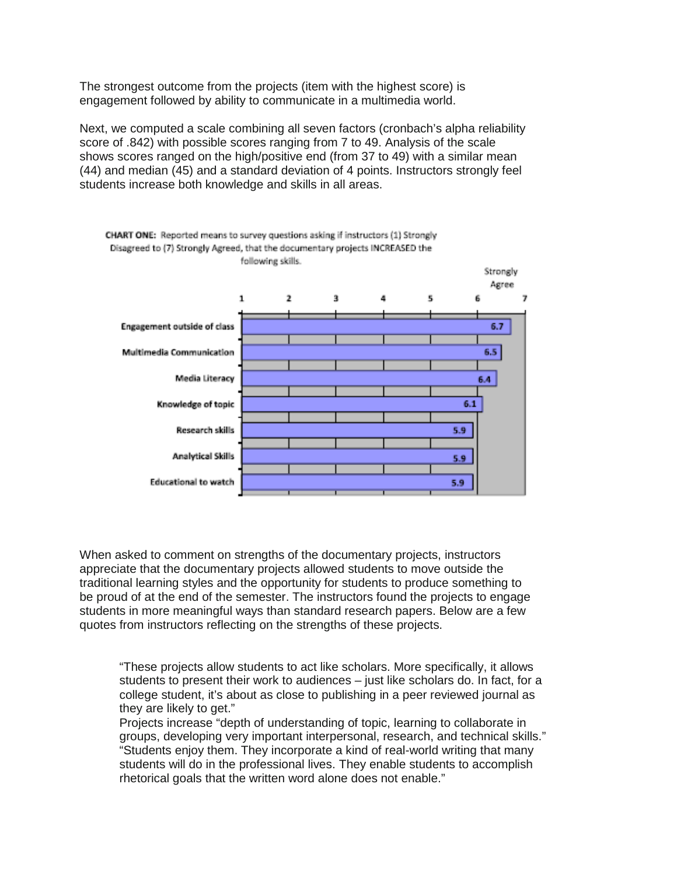The strongest outcome from the projects (item with the highest score) is engagement followed by ability to communicate in a multimedia world.

Next, we computed a scale combining all seven factors (cronbach's alpha reliability score of .842) with possible scores ranging from 7 to 49. Analysis of the scale shows scores ranged on the high/positive end (from 37 to 49) with a similar mean (44) and median (45) and a standard deviation of 4 points. Instructors strongly feel students increase both knowledge and skills in all areas.



CHART ONE: Reported means to survey questions asking if instructors (1) Strongly Disagreed to (7) Strongly Agreed, that the documentary projects INCREASED the following skills.

When asked to comment on strengths of the documentary projects, instructors appreciate that the documentary projects allowed students to move outside the traditional learning styles and the opportunity for students to produce something to be proud of at the end of the semester. The instructors found the projects to engage students in more meaningful ways than standard research papers. Below are a few quotes from instructors reflecting on the strengths of these projects.

"These projects allow students to act like scholars. More specifically, it allows students to present their work to audiences – just like scholars do. In fact, for a college student, it's about as close to publishing in a peer reviewed journal as they are likely to get."

Projects increase "depth of understanding of topic, learning to collaborate in groups, developing very important interpersonal, research, and technical skills." "Students enjoy them. They incorporate a kind of real-world writing that many students will do in the professional lives. They enable students to accomplish rhetorical goals that the written word alone does not enable."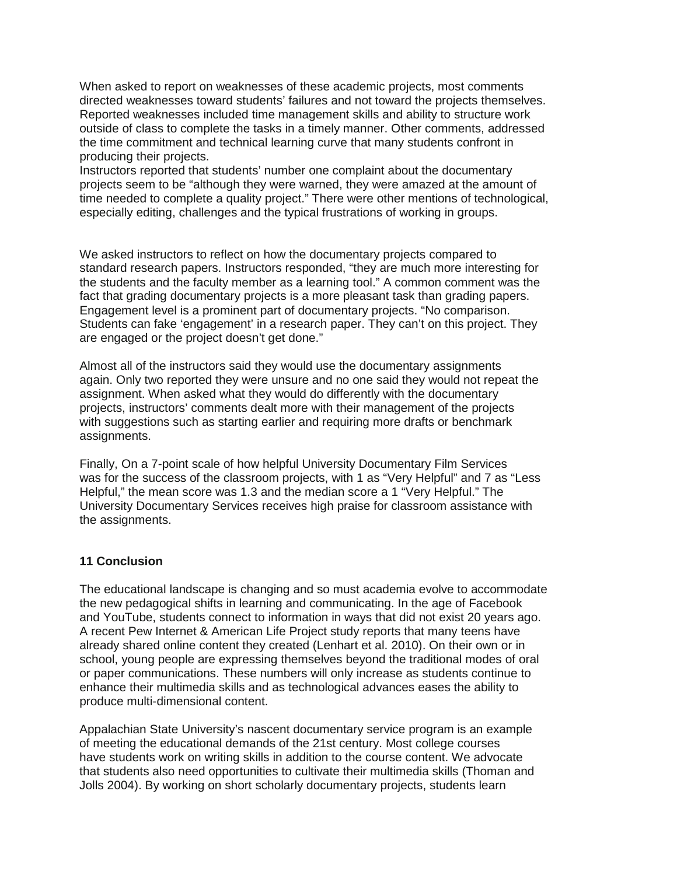When asked to report on weaknesses of these academic projects, most comments directed weaknesses toward students' failures and not toward the projects themselves. Reported weaknesses included time management skills and ability to structure work outside of class to complete the tasks in a timely manner. Other comments, addressed the time commitment and technical learning curve that many students confront in producing their projects.

Instructors reported that students' number one complaint about the documentary projects seem to be "although they were warned, they were amazed at the amount of time needed to complete a quality project." There were other mentions of technological, especially editing, challenges and the typical frustrations of working in groups.

We asked instructors to reflect on how the documentary projects compared to standard research papers. Instructors responded, "they are much more interesting for the students and the faculty member as a learning tool." A common comment was the fact that grading documentary projects is a more pleasant task than grading papers. Engagement level is a prominent part of documentary projects. "No comparison. Students can fake 'engagement' in a research paper. They can't on this project. They are engaged or the project doesn't get done."

Almost all of the instructors said they would use the documentary assignments again. Only two reported they were unsure and no one said they would not repeat the assignment. When asked what they would do differently with the documentary projects, instructors' comments dealt more with their management of the projects with suggestions such as starting earlier and requiring more drafts or benchmark assignments.

Finally, On a 7-point scale of how helpful University Documentary Film Services was for the success of the classroom projects, with 1 as "Very Helpful" and 7 as "Less Helpful," the mean score was 1.3 and the median score a 1 "Very Helpful." The University Documentary Services receives high praise for classroom assistance with the assignments.

### **11 Conclusion**

The educational landscape is changing and so must academia evolve to accommodate the new pedagogical shifts in learning and communicating. In the age of Facebook and YouTube, students connect to information in ways that did not exist 20 years ago. A recent Pew Internet & American Life Project study reports that many teens have already shared online content they created (Lenhart et al. 2010). On their own or in school, young people are expressing themselves beyond the traditional modes of oral or paper communications. These numbers will only increase as students continue to enhance their multimedia skills and as technological advances eases the ability to produce multi-dimensional content.

Appalachian State University's nascent documentary service program is an example of meeting the educational demands of the 21st century. Most college courses have students work on writing skills in addition to the course content. We advocate that students also need opportunities to cultivate their multimedia skills (Thoman and Jolls 2004). By working on short scholarly documentary projects, students learn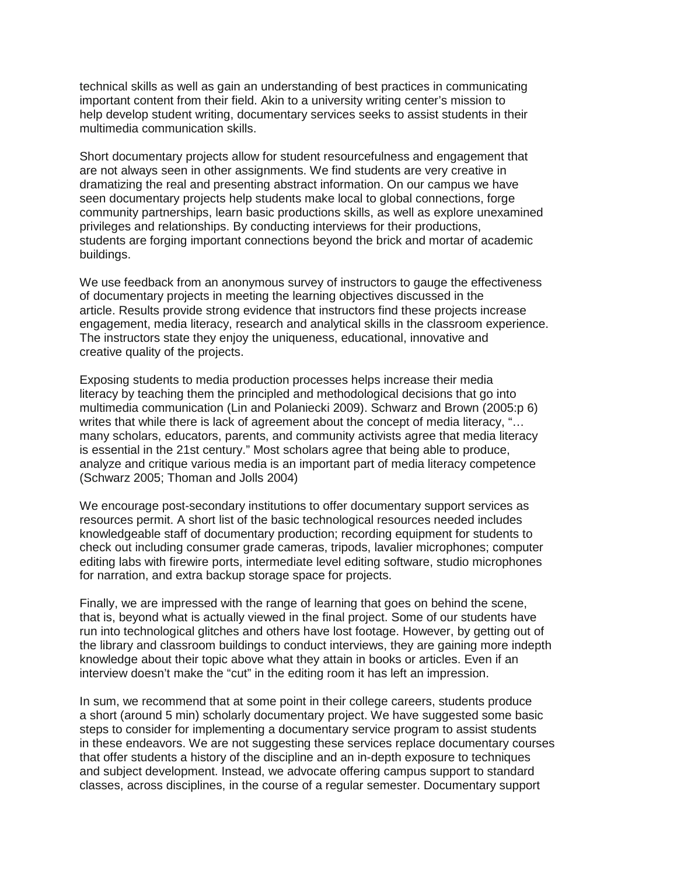technical skills as well as gain an understanding of best practices in communicating important content from their field. Akin to a university writing center's mission to help develop student writing, documentary services seeks to assist students in their multimedia communication skills.

Short documentary projects allow for student resourcefulness and engagement that are not always seen in other assignments. We find students are very creative in dramatizing the real and presenting abstract information. On our campus we have seen documentary projects help students make local to global connections, forge community partnerships, learn basic productions skills, as well as explore unexamined privileges and relationships. By conducting interviews for their productions, students are forging important connections beyond the brick and mortar of academic buildings.

We use feedback from an anonymous survey of instructors to gauge the effectiveness of documentary projects in meeting the learning objectives discussed in the article. Results provide strong evidence that instructors find these projects increase engagement, media literacy, research and analytical skills in the classroom experience. The instructors state they enjoy the uniqueness, educational, innovative and creative quality of the projects.

Exposing students to media production processes helps increase their media literacy by teaching them the principled and methodological decisions that go into multimedia communication (Lin and Polaniecki 2009). Schwarz and Brown (2005:p 6) writes that while there is lack of agreement about the concept of media literacy, "... many scholars, educators, parents, and community activists agree that media literacy is essential in the 21st century." Most scholars agree that being able to produce, analyze and critique various media is an important part of media literacy competence (Schwarz 2005; Thoman and Jolls 2004)

We encourage post-secondary institutions to offer documentary support services as resources permit. A short list of the basic technological resources needed includes knowledgeable staff of documentary production; recording equipment for students to check out including consumer grade cameras, tripods, lavalier microphones; computer editing labs with firewire ports, intermediate level editing software, studio microphones for narration, and extra backup storage space for projects.

Finally, we are impressed with the range of learning that goes on behind the scene, that is, beyond what is actually viewed in the final project. Some of our students have run into technological glitches and others have lost footage. However, by getting out of the library and classroom buildings to conduct interviews, they are gaining more indepth knowledge about their topic above what they attain in books or articles. Even if an interview doesn't make the "cut" in the editing room it has left an impression.

In sum, we recommend that at some point in their college careers, students produce a short (around 5 min) scholarly documentary project. We have suggested some basic steps to consider for implementing a documentary service program to assist students in these endeavors. We are not suggesting these services replace documentary courses that offer students a history of the discipline and an in-depth exposure to techniques and subject development. Instead, we advocate offering campus support to standard classes, across disciplines, in the course of a regular semester. Documentary support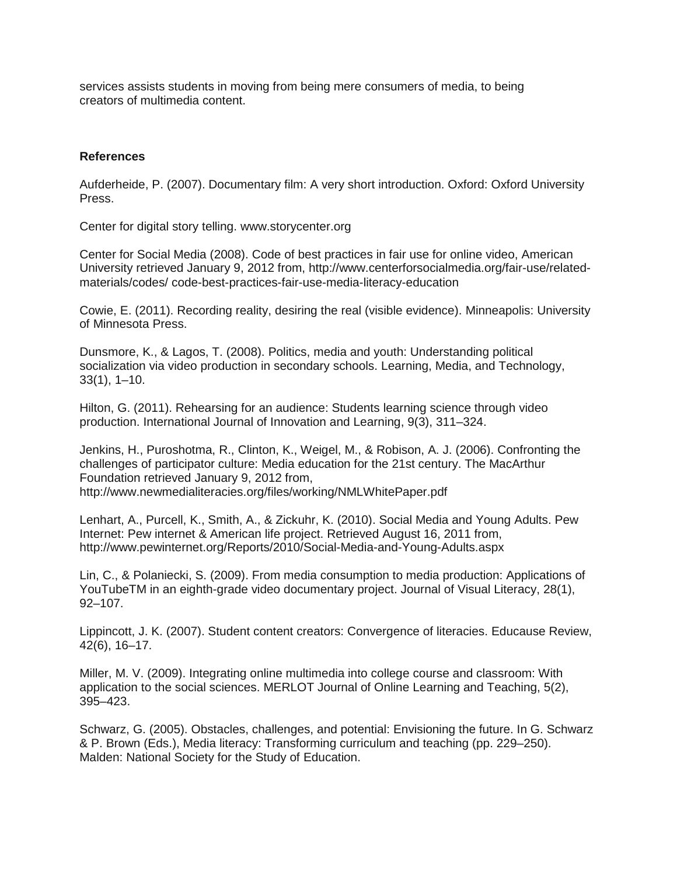services assists students in moving from being mere consumers of media, to being creators of multimedia content.

### **References**

Aufderheide, P. (2007). Documentary film: A very short introduction. Oxford: Oxford University Press.

Center for digital story telling. www.storycenter.org

Center for Social Media (2008). Code of best practices in fair use for online video, American University retrieved January 9, 2012 from, http://www.centerforsocialmedia.org/fair-use/relatedmaterials/codes/ code-best-practices-fair-use-media-literacy-education

Cowie, E. (2011). Recording reality, desiring the real (visible evidence). Minneapolis: University of Minnesota Press.

Dunsmore, K., & Lagos, T. (2008). Politics, media and youth: Understanding political socialization via video production in secondary schools. Learning, Media, and Technology, 33(1), 1–10.

Hilton, G. (2011). Rehearsing for an audience: Students learning science through video production. International Journal of Innovation and Learning, 9(3), 311–324.

Jenkins, H., Puroshotma, R., Clinton, K., Weigel, M., & Robison, A. J. (2006). Confronting the challenges of participator culture: Media education for the 21st century. The MacArthur Foundation retrieved January 9, 2012 from, http://www.newmedialiteracies.org/files/working/NMLWhitePaper.pdf

Lenhart, A., Purcell, K., Smith, A., & Zickuhr, K. (2010). Social Media and Young Adults. Pew Internet: Pew internet & American life project. Retrieved August 16, 2011 from, http://www.pewinternet.org/Reports/2010/Social-Media-and-Young-Adults.aspx

Lin, C., & Polaniecki, S. (2009). From media consumption to media production: Applications of YouTubeTM in an eighth-grade video documentary project. Journal of Visual Literacy, 28(1), 92–107.

Lippincott, J. K. (2007). Student content creators: Convergence of literacies. Educause Review, 42(6), 16–17.

Miller, M. V. (2009). Integrating online multimedia into college course and classroom: With application to the social sciences. MERLOT Journal of Online Learning and Teaching, 5(2), 395–423.

Schwarz, G. (2005). Obstacles, challenges, and potential: Envisioning the future. In G. Schwarz & P. Brown (Eds.), Media literacy: Transforming curriculum and teaching (pp. 229–250). Malden: National Society for the Study of Education.